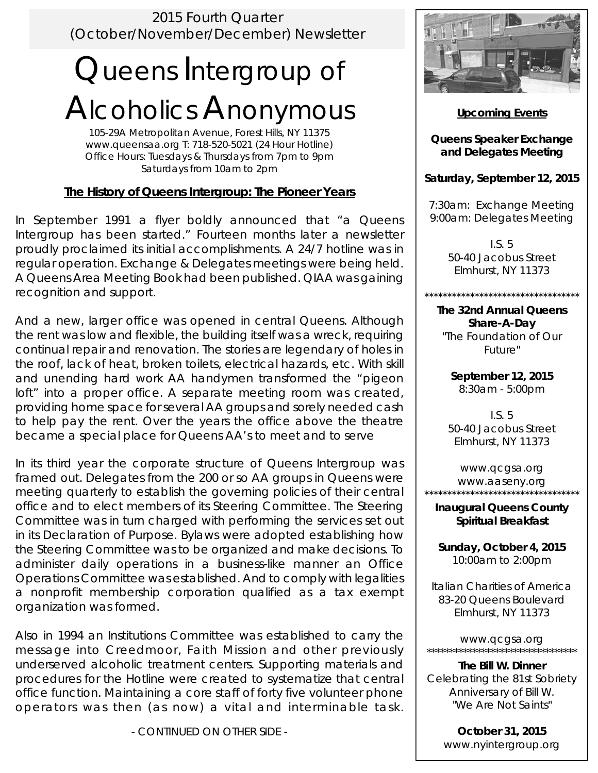2015 Fourth Quarter (October/November/December) Newsletter

# Queens Intergroup of Alcoholics Anonymous

105-29A Metropolitan Avenue, Forest Hills, NY 11375 www.queensaa.org T: 718-520-5021 (24 Hour Hotline) Office Hours: Tuesdays & Thursdays from 7pm to 9pm Saturdays from 10am to 2pm

### **The History of Queens Intergroup: The Pioneer Years**

In September 1991 a flyer boldly announced that "a Queens Intergroup has been started." Fourteen months later a newsletter proudly proclaimed its initial accomplishments. A 24/7 hotline was in regular operation. Exchange & Delegates meetings were being held. A Queens Area Meeting Book had been published. QIAA was gaining recognition and support.

And a new, larger office was opened in central Queens. Although the rent was low and flexible, the building itself was a wreck, requiring continual repair and renovation. The stories are legendary of holes in the roof, lack of heat, broken toilets, electrical hazards, etc. With skill and unending hard work AA handymen transformed the "pigeon loft" into a proper office. A separate meeting room was created, providing home space for several AA groups and sorely needed cash to help pay the rent. Over the years the office above the theatre became a special place for Queens AA's to meet and to serve

In its third year the corporate structure of Queens Intergroup was framed out. Delegates from the 200 or so AA groups in Queens were meeting quarterly to establish the governing policies of their central office and to elect members of its Steering Committee. The Steering Committee was in turn charged with performing the services set out in its Declaration of Purpose. Bylaws were adopted establishing how the Steering Committee was to be organized and make decisions. To administer daily operations in a business-like manner an Office Operations Committee was established. And to comply with legalities a nonprofit membership corporation qualified as a tax exempt organization was formed.

Also in 1994 an Institutions Committee was established to carry the message into Creedmoor, Faith Mission and other previously underserved alcoholic treatment centers. Supporting materials and procedures for the Hotline were created to systematize that central office function. Maintaining a core staff of forty five volunteer phone operators was then (as now) a vital and interminable task.

*- CONTINUED ON OTHER SIDE -* 



**Upcoming Events** 

**Queens Speaker Exchange and Delegates Meeting** 

**Saturday, September 12, 2015** 

7:30am: Exchange Meeting 9:00am: Delegates Meeting

> I.S. 5 50-40 Jacobus Street Elmhurst, NY 11373

\*\*\*\*\*\*\*\*\*\*\*\*\*\*\*\*\*\*\*\*\*\*\*\*\*\*\*\*\*\*\*\*\*\*

**The 32nd Annual Queens Share-A-Day**  "The Foundation of Our Future"

> **September 12, 2015**  8:30am - 5:00pm

I.S. 5 50-40 Jacobus Street Elmhurst, NY 11373

www.qcgsa.org www.aaseny.org \*\*\*\*\*\*\*\*\*\*\*\*\*\*\*\*\*\*\*\*\*\*\*\*\*\*\*\*\*\*\*\*\*\*

**Inaugural Queens County Spiritual Breakfast** 

**Sunday, October 4, 2015**  10:00am to 2:00pm

Italian Charities of America 83-20 Queens Boulevard Elmhurst, NY 11373

www.qcgsa.org \*\*\*\*\*\*\*\*\*\*\*\*\*\*\*\*\*\*\*\*\*\*\*\*\*\*\*\*\*\*\*\*\*

**The Bill W. Dinner**  Celebrating the 81st Sobriety Anniversary of Bill W. "We Are Not Saints"

> **October 31, 2015**  www.nyintergroup.org